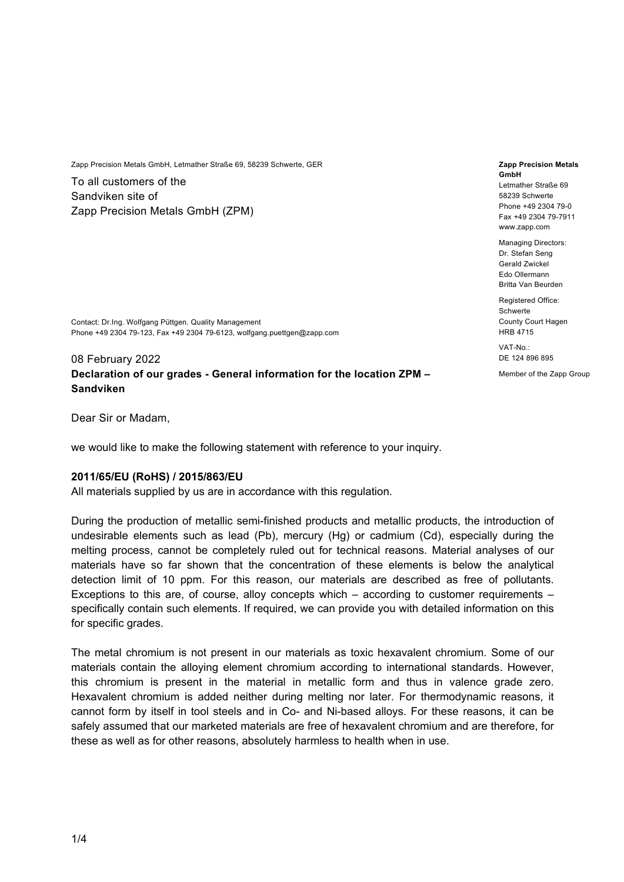Zapp Precision Metals GmbH, Letmather Straße 69, 58239 Schwerte, GER

To all customers of the Sandviken site of Zapp Precision Metals GmbH (ZPM)

Contact: Dr.Ing. Wolfgang Püttgen. Quality Management Phone +49 2304 79-123, Fax +49 2304 79-6123, wolfgang.puettgen@zapp.com

# 08 February 2022 **Declaration of our grades - General information for the location ZPM – Sandviken**

Dear Sir or Madam,

we would like to make the following statement with reference to your inquiry.

#### **2011/65/EU (RoHS) / 2015/863/EU**

All materials supplied by us are in accordance with this regulation.

During the production of metallic semi-finished products and metallic products, the introduction of undesirable elements such as lead (Pb), mercury (Hg) or cadmium (Cd), especially during the melting process, cannot be completely ruled out for technical reasons. Material analyses of our materials have so far shown that the concentration of these elements is below the analytical detection limit of 10 ppm. For this reason, our materials are described as free of pollutants. Exceptions to this are, of course, alloy concepts which – according to customer requirements – specifically contain such elements. If required, we can provide you with detailed information on this for specific grades.

The metal chromium is not present in our materials as toxic hexavalent chromium. Some of our materials contain the alloying element chromium according to international standards. However, this chromium is present in the material in metallic form and thus in valence grade zero. Hexavalent chromium is added neither during melting nor later. For thermodynamic reasons, it cannot form by itself in tool steels and in Co- and Ni-based alloys. For these reasons, it can be safely assumed that our marketed materials are free of hexavalent chromium and are therefore, for these as well as for other reasons, absolutely harmless to health when in use.

#### **Zapp Precision Metals GmbH**  Letmather Straße 69 58239 Schwerte Phone +49 2304 79-0 Fax +49 2304 79-7911 www.zapp.com

Managing Directors: Dr. Stefan Seng Gerald Zwickel Edo Ollermann Britta Van Beurden

Registered Office: Schwerte County Court Hagen HRB 4715

VAT-No.: DE 124 896 895

Member of the Zapp Group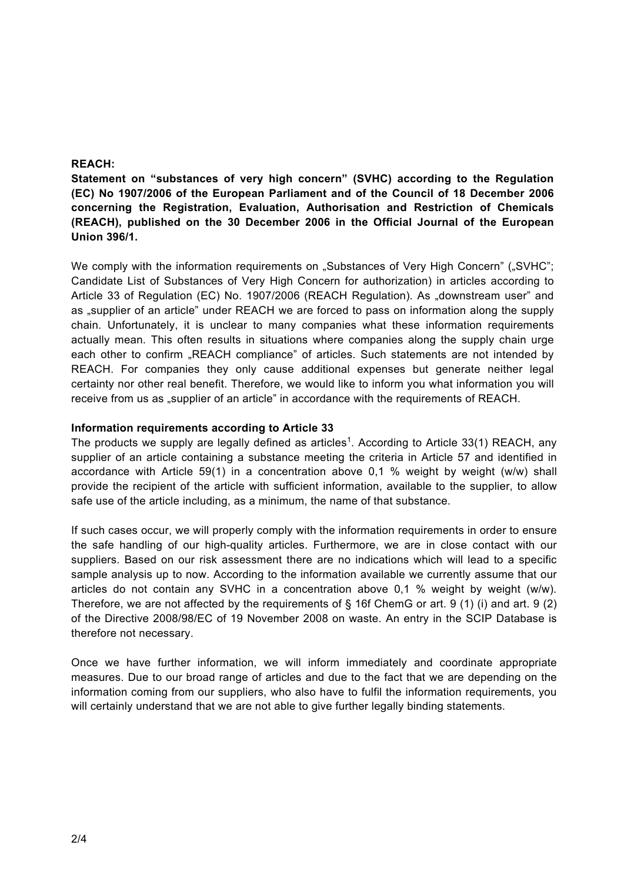## **REACH:**

**Statement on "substances of very high concern" (SVHC) according to the Regulation (EC) No 1907/2006 of the European Parliament and of the Council of 18 December 2006 concerning the Registration, Evaluation, Authorisation and Restriction of Chemicals (REACH), published on the 30 December 2006 in the Official Journal of the European Union 396/1.** 

We comply with the information requirements on "Substances of Very High Concern" ("SVHC"; Candidate List of Substances of Very High Concern for authorization) in articles according to Article 33 of Regulation (EC) No. 1907/2006 (REACH Regulation). As "downstream user" and as "supplier of an article" under REACH we are forced to pass on information along the supply chain. Unfortunately, it is unclear to many companies what these information requirements actually mean. This often results in situations where companies along the supply chain urge each other to confirm "REACH compliance" of articles. Such statements are not intended by REACH. For companies they only cause additional expenses but generate neither legal certainty nor other real benefit. Therefore, we would like to inform you what information you will receive from us as "supplier of an article" in accordance with the requirements of REACH.

## **Information requirements according to Article 33**

The products we supply are legally defined as articles<sup>1</sup>. According to Article 33(1) REACH, any supplier of an article containing a substance meeting the criteria in Article 57 and identified in accordance with Article 59(1) in a concentration above 0,1 % weight by weight (w/w) shall provide the recipient of the article with sufficient information, available to the supplier, to allow safe use of the article including, as a minimum, the name of that substance.

If such cases occur, we will properly comply with the information requirements in order to ensure the safe handling of our high-quality articles. Furthermore, we are in close contact with our suppliers. Based on our risk assessment there are no indications which will lead to a specific sample analysis up to now. According to the information available we currently assume that our articles do not contain any SVHC in a concentration above 0,1 % weight by weight (w/w). Therefore, we are not affected by the requirements of  $\S$  16f ChemG or art. 9 (1) (i) and art. 9 (2) of the Directive 2008/98/EC of 19 November 2008 on waste. An entry in the SCIP Database is therefore not necessary.

Once we have further information, we will inform immediately and coordinate appropriate measures. Due to our broad range of articles and due to the fact that we are depending on the information coming from our suppliers, who also have to fulfil the information requirements, you will certainly understand that we are not able to give further legally binding statements.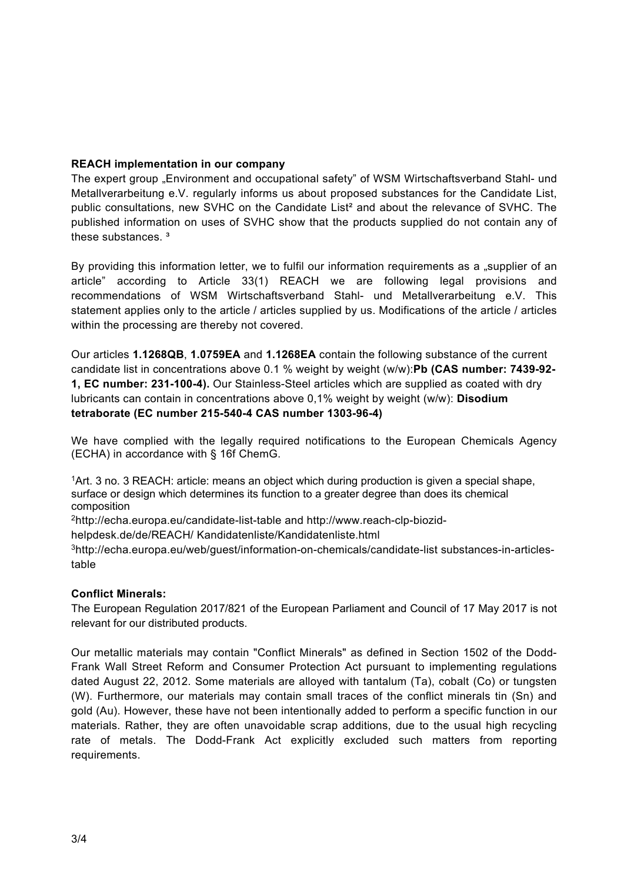# **REACH implementation in our company**

The expert group "Environment and occupational safety" of WSM Wirtschaftsverband Stahl- und Metallverarbeitung e.V. regularly informs us about proposed substances for the Candidate List, public consultations, new SVHC on the Candidate List² and about the relevance of SVHC. The published information on uses of SVHC show that the products supplied do not contain any of these substances <sup>3</sup>

By providing this information letter, we to fulfil our information requirements as a "supplier of an article" according to Article 33(1) REACH we are following legal provisions and recommendations of WSM Wirtschaftsverband Stahl- und Metallverarbeitung e.V. This statement applies only to the article / articles supplied by us. Modifications of the article / articles within the processing are thereby not covered.

Our articles **1.1268QB**, **1.0759EA** and **1.1268EA** contain the following substance of the current candidate list in concentrations above 0.1 % weight by weight (w/w):**Pb (CAS number: 7439-92- 1, EC number: 231-100-4).** Our Stainless-Steel articles which are supplied as coated with dry lubricants can contain in concentrations above 0,1% weight by weight (w/w): **Disodium tetraborate (EC number 215-540-4 CAS number 1303-96-4)** 

We have complied with the legally required notifications to the European Chemicals Agency (ECHA) in accordance with § 16f ChemG.

 $1$ Art. 3 no. 3 REACH: article: means an object which during production is given a special shape, surface or design which determines its function to a greater degree than does its chemical composition

2http://echa.europa.eu/candidate-list-table and http://www.reach-clp-biozid-

helpdesk.de/de/REACH/ Kandidatenliste/Kandidatenliste.html

3http://echa.europa.eu/web/guest/information-on-chemicals/candidate-list substances-in-articlestable

# **Conflict Minerals:**

The European Regulation 2017/821 of the European Parliament and Council of 17 May 2017 is not relevant for our distributed products.

Our metallic materials may contain "Conflict Minerals" as defined in Section 1502 of the Dodd-Frank Wall Street Reform and Consumer Protection Act pursuant to implementing regulations dated August 22, 2012. Some materials are alloyed with tantalum (Ta), cobalt (Co) or tungsten (W). Furthermore, our materials may contain small traces of the conflict minerals tin (Sn) and gold (Au). However, these have not been intentionally added to perform a specific function in our materials. Rather, they are often unavoidable scrap additions, due to the usual high recycling rate of metals. The Dodd-Frank Act explicitly excluded such matters from reporting requirements.